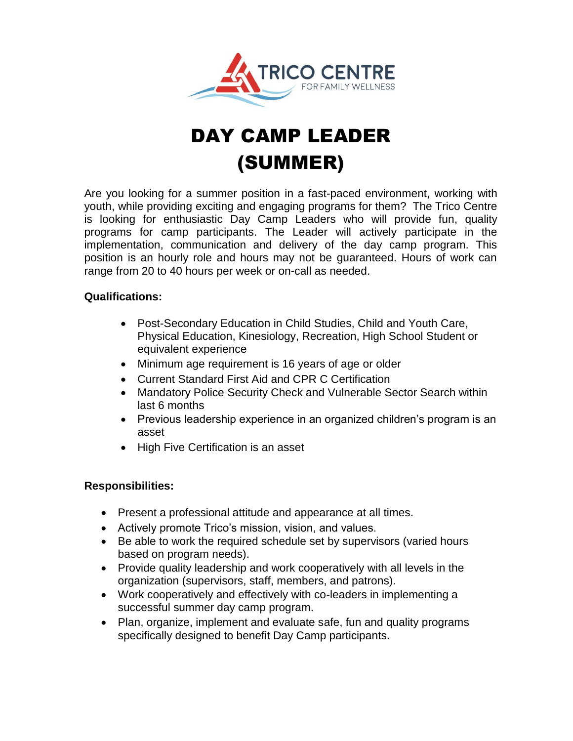

# DAY CAMP LEADER (SUMMER)

Are you looking for a summer position in a fast-paced environment, working with youth, while providing exciting and engaging programs for them? The Trico Centre is looking for enthusiastic Day Camp Leaders who will provide fun, quality programs for camp participants. The Leader will actively participate in the implementation, communication and delivery of the day camp program. This position is an hourly role and hours may not be guaranteed. Hours of work can range from 20 to 40 hours per week or on-call as needed.

#### **Qualifications:**

- Post-Secondary Education in Child Studies, Child and Youth Care, Physical Education, Kinesiology, Recreation, High School Student or equivalent experience
- Minimum age requirement is 16 years of age or older
- Current Standard First Aid and CPR C Certification
- Mandatory Police Security Check and Vulnerable Sector Search within last 6 months
- Previous leadership experience in an organized children's program is an asset
- High Five Certification is an asset

#### **Responsibilities:**

- Present a professional attitude and appearance at all times.
- Actively promote Trico's mission, vision, and values.
- Be able to work the required schedule set by supervisors (varied hours based on program needs).
- Provide quality leadership and work cooperatively with all levels in the organization (supervisors, staff, members, and patrons).
- Work cooperatively and effectively with co-leaders in implementing a successful summer day camp program.
- Plan, organize, implement and evaluate safe, fun and quality programs specifically designed to benefit Day Camp participants.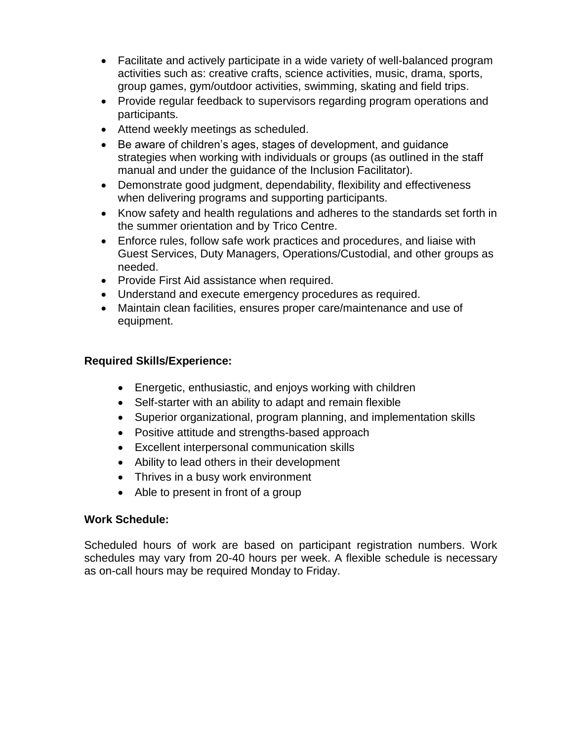- Facilitate and actively participate in a wide variety of well-balanced program activities such as: creative crafts, science activities, music, drama, sports, group games, gym/outdoor activities, swimming, skating and field trips.
- Provide regular feedback to supervisors regarding program operations and participants.
- Attend weekly meetings as scheduled.
- Be aware of children's ages, stages of development, and guidance strategies when working with individuals or groups (as outlined in the staff manual and under the guidance of the Inclusion Facilitator).
- Demonstrate good judgment, dependability, flexibility and effectiveness when delivering programs and supporting participants.
- Know safety and health regulations and adheres to the standards set forth in the summer orientation and by Trico Centre.
- Enforce rules, follow safe work practices and procedures, and liaise with Guest Services, Duty Managers, Operations/Custodial, and other groups as needed.
- Provide First Aid assistance when required.
- Understand and execute emergency procedures as required.
- Maintain clean facilities, ensures proper care/maintenance and use of equipment.

## **Required Skills/Experience:**

- Energetic, enthusiastic, and enjoys working with children
- Self-starter with an ability to adapt and remain flexible
- Superior organizational, program planning, and implementation skills
- Positive attitude and strengths-based approach
- Excellent interpersonal communication skills
- Ability to lead others in their development
- Thrives in a busy work environment
- Able to present in front of a group

## **Work Schedule:**

Scheduled hours of work are based on participant registration numbers. Work schedules may vary from 20-40 hours per week. A flexible schedule is necessary as on-call hours may be required Monday to Friday.